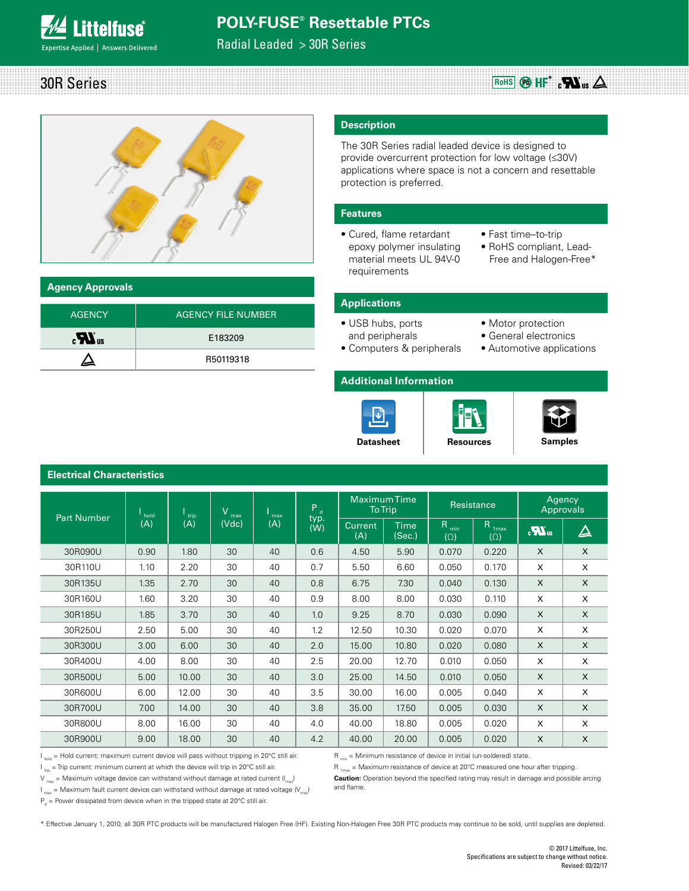# **Littelfuse**® xpertise Applied | Answers Delivered

# **POLY-FUSE® Resettable PTCs**

Radial Leaded > 30R Series





### **Agency Approvals**

**Electrical Characteristics**

| <b>AGENCY</b>       | AGENCY FILE NUMBER |
|---------------------|--------------------|
| $\boldsymbol{H}$ us | E183209            |
|                     | R50119318          |

### **Description**

The 30R Series radial leaded device is designed to provide overcurrent protection for low voltage (≤30V) applications where space is not a concern and resettable protection is preferred.

#### **Features**

- Cured, flame retardant epoxy polymer insulating material meets UL 94V-0 requirements
- Fast time–to-trip
- RoHS compliant, Lead- Free and Halogen-Free\*

### **Applications**

- USB hubs, ports and peripherals
- Computers & peripherals
- Motor protection • General electronics • Automotive applications

#### **Additional Information**







|                    |                          |               |                   |            |                        |                       | <b>Maximum Time</b> |                    |                                     |                            |              |
|--------------------|--------------------------|---------------|-------------------|------------|------------------------|-----------------------|---------------------|--------------------|-------------------------------------|----------------------------|--------------|
| <b>Part Number</b> | <sup>l</sup> hold<br>(A) | $\frac{1}{1}$ | V<br>max<br>(Vdc) | max<br>(A) | $P_{d}$<br>typ.<br>(W) | <b>To Trip</b>        |                     | Resistance         |                                     | Agency<br><b>Approvals</b> |              |
|                    |                          | (A)           |                   |            |                        | <b>Current</b><br>(A) | Time<br>(Sec.)      | Ruin<br>$(\Omega)$ | R<br>1 <sub>max</sub><br>$(\Omega)$ | $\boldsymbol{u}$           | $\Delta$     |
| 30R090U            | 0.90                     | 1.80          | 30                | 40         | 0.6                    | 4.50                  | 5.90                | 0.070              | 0.220                               | $\times$                   | $\times$     |
| 30R110U            | 1.10                     | 2.20          | 30                | 40         | 0.7                    | 5.50                  | 6.60                | 0.050              | 0.170                               | X                          | X            |
| 30R135U            | 1.35                     | 2.70          | 30                | 40         | 0.8                    | 6.75                  | 7.30                | 0.040              | 0.130                               | $\mathsf{X}$               | $\mathsf{X}$ |
| 30R160U            | 1.60                     | 3.20          | 30                | 40         | 0.9                    | 8.00                  | 8.00                | 0.030              | 0.110                               | X                          | X            |
| 30R185U            | 1.85                     | 3.70          | 30                | 40         | 1.0                    | 9.25                  | 8.70                | 0.030              | 0.090                               | $\mathsf{x}$               | $\mathsf{X}$ |
| 30R250U            | 2.50                     | 5.00          | 30                | 40         | 1.2                    | 12.50                 | 10.30               | 0.020              | 0.070                               | X                          | X            |
| 30R300U            | 3.00                     | 6.00          | 30                | 40         | 2.0                    | 15.00                 | 10.80               | 0.020              | 0.080                               | $\times$                   | $\mathsf{X}$ |
| 30R400U            | 4.00                     | 8.00          | 30                | 40         | 2.5                    | 20.00                 | 12.70               | 0.010              | 0.050                               | X                          | X            |
| 30R500U            | 5.00                     | 10.00         | 30                | 40         | 3.0                    | 25.00                 | 14.50               | 0.010              | 0.050                               | $\times$                   | $\mathsf{X}$ |
| 30R600U            | 6.00                     | 12.00         | 30                | 40         | 3.5                    | 30.00                 | 16.00               | 0.005              | 0.040                               | X                          | X            |
| 30R700U            | 7.00                     | 14.00         | 30                | 40         | 3.8                    | 35.00                 | 17.50               | 0.005              | 0.030                               | $\times$                   | $\mathsf{X}$ |
| 30R800U            | 8.00                     | 16.00         | 30                | 40         | 4.0                    | 40.00                 | 18.80               | 0.005              | 0.020                               | X                          | X            |
| 30R900U            | 9.00                     | 18.00         | 30                | 40         | 4.2                    | 40.00                 | 20.00               | 0.005              | 0.020                               | X                          | X            |

 $I_{hold}$  = Hold current: maximum current device will pass without tripping in 20°C still air.

 $I_{\text{max}}$  = Maximum fault current device can withstand without damage at rated voltage ( $V_{\text{max}}$ )

 $I_{\text{trip}}$  = Trip current: minimum current at which the device will trip in 20°C still air.  $V_{\text{max}}$  = Maximum voltage device can withstand without damage at rated current ( $I_{\text{max}}$ )

**Caution:** Operation beyond the specified rating may result in damage and possible arcing and flame.

 $P_d$  = Power dissipated from device when in the tripped state at 20°C still air.

\* Effective January 1, 2010, all 30R PTC products will be manufactured Halogen Free (HF). Existing Non-Halogen Free 30R PTC products may continue to be sold, until supplies are depleted.

 $R_{min}$  = Minimum resistance of device in initial (un-soldered) state.  $R_{1_{max}}$  = Maximum resistance of device at 20°C measured one hour after tripping.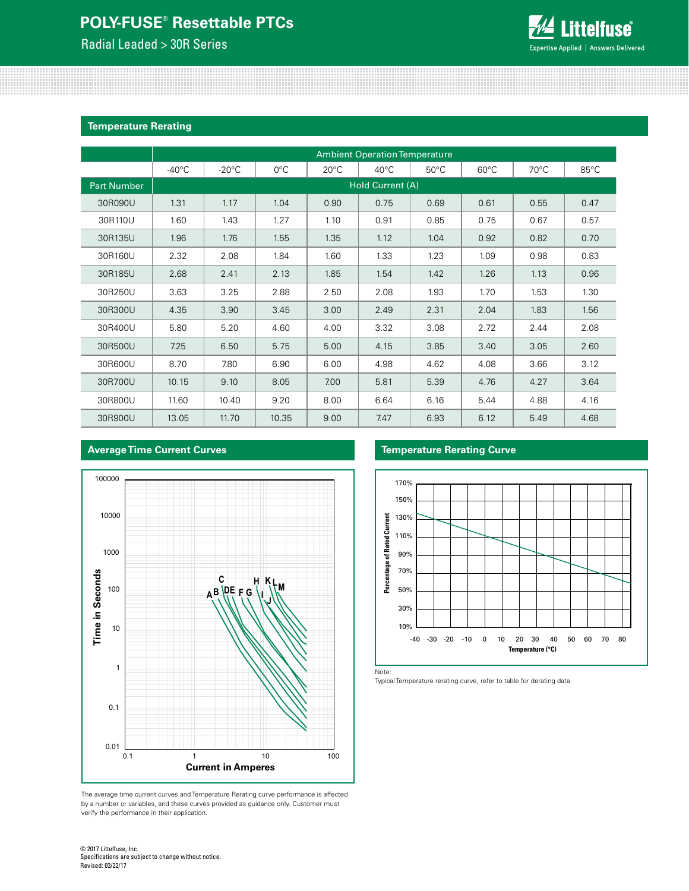Radial Leaded > 30R Series

**Average Time Current Curves**



#### **Temperature Rerating**

|                    | <b>Ambient Operation Temperature</b> |                 |               |                |                |                |                |                |                |  |
|--------------------|--------------------------------------|-----------------|---------------|----------------|----------------|----------------|----------------|----------------|----------------|--|
|                    | $-40^{\circ}$ C                      | $-20^{\circ}$ C | $0^{\circ}$ C | $20^{\circ}$ C | $40^{\circ}$ C | $50^{\circ}$ C | $60^{\circ}$ C | $70^{\circ}$ C | $85^{\circ}$ C |  |
| <b>Part Number</b> | Hold Current (A)                     |                 |               |                |                |                |                |                |                |  |
| 30R090U            | 1.31                                 | 1.17            | 1.04          | 0.90           | 0.75           | 0.69           | 0.61           | 0.55           | 0.47           |  |
| 30R110U            | 1.60                                 | 1.43            | 1.27          | 1.10           | 0.91           | 0.85           | 0.75           | 0.67           | 0.57           |  |
| 30R135U            | 1.96                                 | 1.76            | 1.55          | 1.35           | 1.12           | 1.04           | 0.92           | 0.82           | 0.70           |  |
| 30R160U            | 2.32                                 | 2.08            | 1.84          | 1.60           | 1.33           | 1.23           | 1.09           | 0.98           | 0.83           |  |
| 30R185U            | 2.68                                 | 2.41            | 2.13          | 1.85           | 1.54           | 1.42           | 1.26           | 1.13           | 0.96           |  |
| 30R250U            | 3.63                                 | 3.25            | 2.88          | 2.50           | 2.08           | 1.93           | 1.70           | 1.53           | 1.30           |  |
| 30R300U            | 4.35                                 | 3.90            | 3.45          | 3.00           | 2.49           | 2.31           | 2.04           | 1.83           | 1.56           |  |
| 30R400U            | 5.80                                 | 5.20            | 4.60          | 4.00           | 3.32           | 3.08           | 2.72           | 2.44           | 2.08           |  |
| 30R500U            | 7.25                                 | 6.50            | 5.75          | 5.00           | 4.15           | 3.85           | 3.40           | 3.05           | 2.60           |  |
| 30R600U            | 8.70                                 | 7.80            | 6.90          | 6.00           | 4.98           | 4.62           | 4.08           | 3.66           | 3.12           |  |
| 30R700U            | 10.15                                | 9.10            | 8.05          | 7.00           | 5.81           | 5.39           | 4.76           | 4.27           | 3.64           |  |
| 30R800U            | 11.60                                | 10.40           | 9.20          | 8.00           | 6.64           | 6.16           | 5.44           | 4.88           | 4.16           |  |
| 30R900U            | 13.05                                | 11.70           | 10.35         | 9.00           | 7.47           | 6.93           | 6.12           | 5.49           | 4.68           |  |

### 100000 10000 1000 **Time in Seconds Time in Seconds C H K LM**100 **AB DE F G I J** 10 1 0.1  $0.01$  0.1 0.1 1 10 100 **Current in Amperes**

The average time current curves and Temperature Rerating curve performance is affected by a number or variables, and these curves provided as guidance only. Customer must verify the performance in their application.

### **Temperature Rerating Curve**



Note:

Typical Temperature rerating curve, refer to table for derating data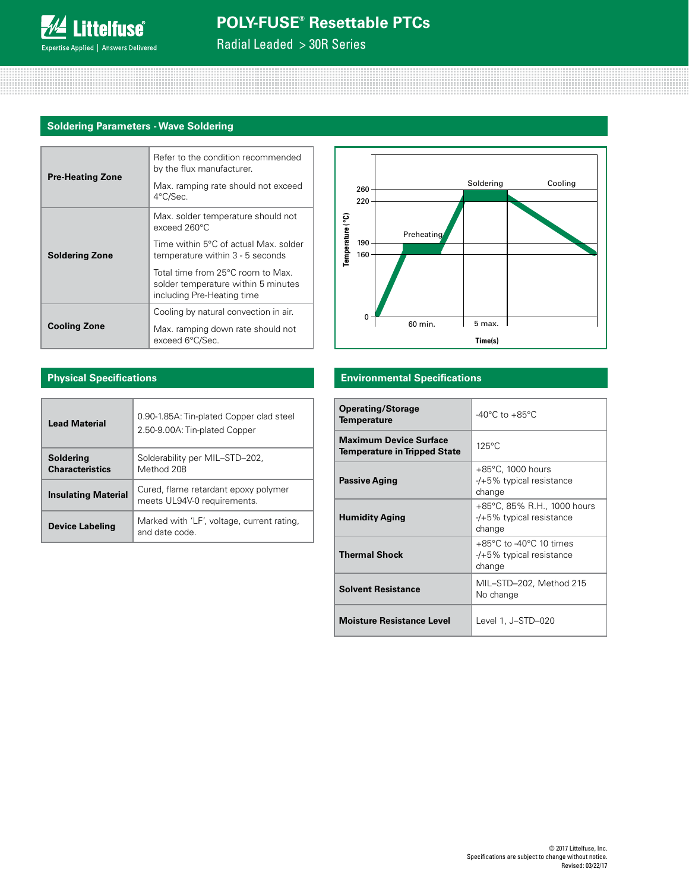Radial Leaded > 30R Series

### **Soldering Parameters - Wave Soldering**

|                         | Refer to the condition recommended<br>by the flux manufacturer.                                        |  |  |  |  |  |
|-------------------------|--------------------------------------------------------------------------------------------------------|--|--|--|--|--|
| <b>Pre-Heating Zone</b> | Max. ramping rate should not exceed<br>4°C/Sec.                                                        |  |  |  |  |  |
| <b>Soldering Zone</b>   | Max. solder temperature should not<br>exceed 260°C                                                     |  |  |  |  |  |
|                         | Time within 5°C of actual Max, solder<br>temperature within 3 - 5 seconds                              |  |  |  |  |  |
|                         | Total time from 25°C room to Max.<br>solder temperature within 5 minutes<br>including Pre-Heating time |  |  |  |  |  |
|                         | Cooling by natural convection in air.                                                                  |  |  |  |  |  |
| <b>Cooling Zone</b>     | Max. ramping down rate should not<br>exceed 6°C/Sec.                                                   |  |  |  |  |  |



### **Physical Specifications**

| <b>Lead Material</b>                | 0.90-1.85A: Tin-plated Copper clad steel<br>2.50-9.00A: Tin-plated Copper |
|-------------------------------------|---------------------------------------------------------------------------|
| Soldering<br><b>Characteristics</b> | Solderability per MIL-STD-202,<br>Method 208                              |
| <b>Insulating Material</b>          | Cured, flame retardant epoxy polymer<br>meets UL94V-0 requirements.       |
| <b>Device Labeling</b>              | Marked with 'LF', voltage, current rating,<br>and date code               |

#### **Environmental Specifications**

| <b>Operating/Storage</b><br><b>Temperature</b>                       | $-40^{\circ}$ C to $+85^{\circ}$ C                                                    |
|----------------------------------------------------------------------|---------------------------------------------------------------------------------------|
| <b>Maximum Device Surface</b><br><b>Temperature in Tripped State</b> | $125^{\circ}$ C                                                                       |
| <b>Passive Aging</b>                                                 | $+85^{\circ}$ C, 1000 hours<br>$-$ /+5% typical resistance<br>change                  |
| <b>Humidity Aging</b>                                                | +85°C, 85% R.H., 1000 hours<br>$-$ /+5% typical resistance<br>change                  |
| <b>Thermal Shock</b>                                                 | $+85^{\circ}$ C to -40 $^{\circ}$ C 10 times<br>$-$ /+5% typical resistance<br>change |
| <b>Solvent Resistance</b>                                            | MIL-STD-202, Method 215<br>No change                                                  |
| <b>Moisture Resistance Level</b>                                     | Level 1, J-STD-020                                                                    |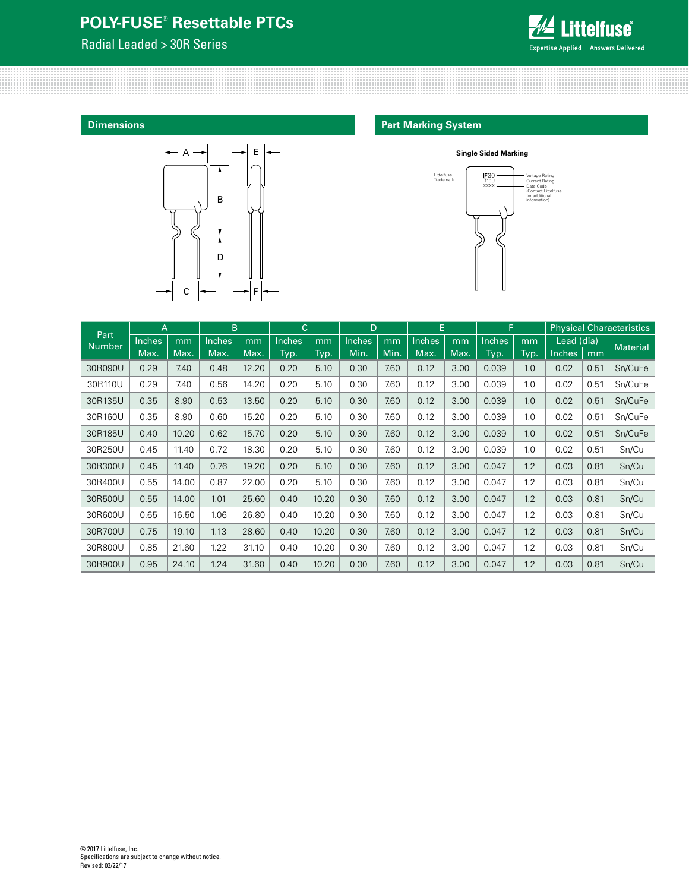Radial Leaded > 30R Series



**Dimensions**



### **Part Marking System**



|                       | B<br>A |       | $\mathsf{C}$<br>D |       |               | E     |        | F.   |               | <b>Physical Characteristics</b> |               |      |                                |      |                 |
|-----------------------|--------|-------|-------------------|-------|---------------|-------|--------|------|---------------|---------------------------------|---------------|------|--------------------------------|------|-----------------|
| Part<br><b>Number</b> | Inches | mm    | Inches            | mm    | <b>Inches</b> | mm    | Inches | mm   | <b>Inches</b> | mm                              | <b>Inches</b> | mm   | Lead $\overline{\text{(dia)}}$ |      | <b>Material</b> |
|                       | Max.   | Max.  | Max.              | Max.  | Typ.          | Typ.  | Min.   | Min. | Max.          | Max.                            | Typ.          | Typ. | <b>Inches</b>                  | mm   |                 |
| 30R090U               | 0.29   | 7.40  | 0.48              | 12.20 | 0.20          | 5.10  | 0.30   | 7.60 | 0.12          | 3.00                            | 0.039         | 1.0  | 0.02                           | 0.51 | Sn/CuFe         |
| 30R110U               | 0.29   | 7.40  | 0.56              | 14.20 | 0.20          | 5.10  | 0.30   | 7.60 | 0.12          | 3.00                            | 0.039         | 1.0  | 0.02                           | 0.51 | Sn/CuFe         |
| 30R135U               | 0.35   | 8.90  | 0.53              | 13.50 | 0.20          | 5.10  | 0.30   | 7.60 | 0.12          | 3.00                            | 0.039         | 1.0  | 0.02                           | 0.51 | Sn/CuFe         |
| 30R160U               | 0.35   | 8.90  | 0.60              | 15.20 | 0.20          | 5.10  | 0.30   | 7.60 | 0.12          | 3.00                            | 0.039         | 1.0  | 0.02                           | 0.51 | Sn/CuFe         |
| 30R185U               | 0.40   | 10.20 | 0.62              | 15.70 | 0.20          | 5.10  | 0.30   | 7.60 | 0.12          | 3.00                            | 0.039         | 1.0  | 0.02                           | 0.51 | Sn/CuFe         |
| 30R250U               | 0.45   | 11.40 | 0.72              | 18.30 | 0.20          | 5.10  | 0.30   | 7.60 | 0.12          | 3.00                            | 0.039         | 1.0  | 0.02                           | 0.51 | Sn/Cu           |
| 30R300U               | 0.45   | 11.40 | 0.76              | 19.20 | 0.20          | 5.10  | 0.30   | 7.60 | 0.12          | 3.00                            | 0.047         | 1.2  | 0.03                           | 0.81 | Sn/Cu           |
| 30R400U               | 0.55   | 14.00 | 0.87              | 22.00 | 0.20          | 5.10  | 0.30   | 7.60 | 0.12          | 3.00                            | 0.047         | 1.2  | 0.03                           | 0.81 | Sn/Cu           |
| 30R500U               | 0.55   | 14.00 | 1.01              | 25.60 | 0.40          | 10.20 | 0.30   | 7.60 | 0.12          | 3.00                            | 0.047         | 1.2  | 0.03                           | 0.81 | Sn/Cu           |
| 30R600U               | 0.65   | 16.50 | 1.06              | 26.80 | 0.40          | 10.20 | 0.30   | 7.60 | 0.12          | 3.00                            | 0.047         | 1.2  | 0.03                           | 0.81 | Sn/Cu           |
| 30R700U               | 0.75   | 19.10 | 1.13              | 28.60 | 0.40          | 10.20 | 0.30   | 7.60 | 0.12          | 3.00                            | 0.047         | 1.2  | 0.03                           | 0.81 | Sn/Cu           |
| 30R800U               | 0.85   | 21.60 | 1.22              | 31.10 | 0.40          | 10.20 | 0.30   | 7.60 | 0.12          | 3.00                            | 0.047         | 1.2  | 0.03                           | 0.81 | Sn/Cu           |
| 30R900U               | 0.95   | 24.10 | 1.24              | 31.60 | 0.40          | 10.20 | 0.30   | 7.60 | 0.12          | 3.00                            | 0.047         | 1.2  | 0.03                           | 0.81 | Sn/Cu           |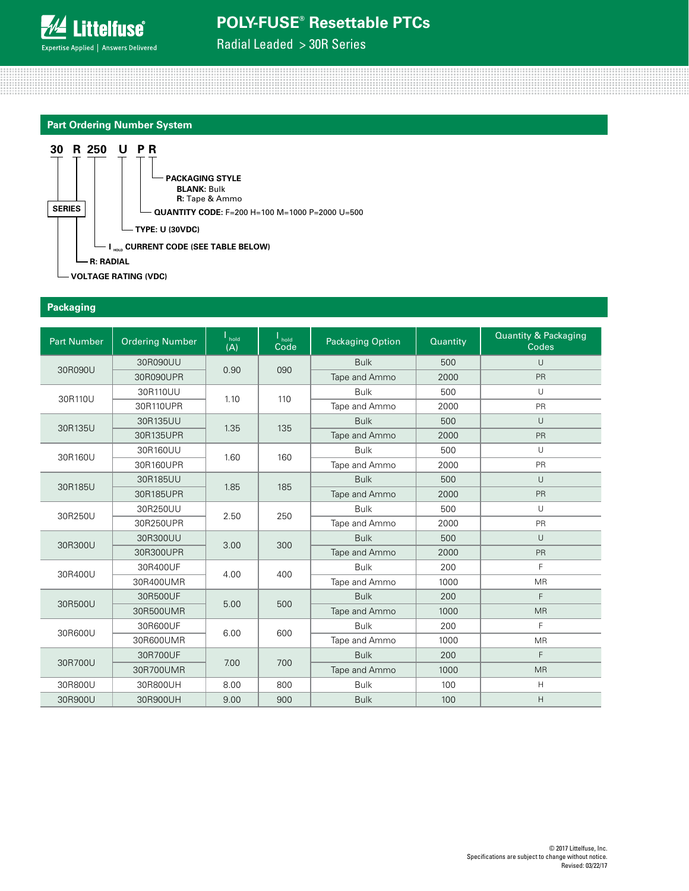Radial Leaded > 30R Series





#### **Packaging**

| <b>Part Number</b> | <b>Ordering Number</b> | hold<br>(A) | $h$ old<br>Code | <b>Packaging Option</b> | Quantity | <b>Quantity &amp; Packaging</b><br>Codes |
|--------------------|------------------------|-------------|-----------------|-------------------------|----------|------------------------------------------|
| 30R090U            | 30R090UU               | 0.90        | 090             | <b>Bulk</b>             | 500      | $\cup$                                   |
|                    | 30R090UPR              |             |                 | Tape and Ammo           | 2000     | <b>PR</b>                                |
| 30R110U            | 30R110UU               | 1.10        | 110             | <b>Bulk</b>             | 500      | $\cup$                                   |
|                    | 30R110UPR              |             |                 | Tape and Ammo           | 2000     | PR                                       |
| 30R135U            | 30R135UU               | 1.35        | 135             | <b>Bulk</b>             | 500      | $\cup$                                   |
|                    | 30R135UPR              |             |                 | Tape and Ammo           | 2000     | PR                                       |
| 30R160U            | 30R160UU               | 1.60        | 160             | <b>Bulk</b>             | 500      | U                                        |
|                    | 30R160UPR              |             |                 | Tape and Ammo           | 2000     | PR                                       |
| 30R185U            | 30R185UU               | 1.85        | 185             | <b>Bulk</b>             | 500      | $\cup$                                   |
|                    | 30R185UPR              |             |                 | Tape and Ammo           | 2000     | <b>PR</b>                                |
| 30R250U            | 30R250UU               | 2.50        | 250             | <b>Bulk</b>             | 500      | U                                        |
|                    | 30R250UPR              |             |                 | Tape and Ammo           | 2000     | PR                                       |
| 30R300U            | 30R300UU               | 3.00        | 300             | <b>Bulk</b>             | 500      | $\cup$                                   |
|                    | 30R300UPR              |             |                 | Tape and Ammo           | 2000     | <b>PR</b>                                |
| 30R400U            | 30R400UF               | 4.00        | 400             | <b>Bulk</b>             | 200      | F                                        |
|                    | 30R400UMR              |             |                 | Tape and Ammo           | 1000     | <b>MR</b>                                |
| 30R500U            | 30R500UF               | 5.00        | 500             | <b>Bulk</b>             | 200      | F                                        |
|                    | 30R500UMR              |             |                 | Tape and Ammo           | 1000     | <b>MR</b>                                |
| 30R600U            | 30R600UF               | 6.00        | 600             | <b>Bulk</b>             | 200      | E                                        |
|                    | 30R600UMR              |             |                 | Tape and Ammo           | 1000     | <b>MR</b>                                |
|                    | 30R700UF               |             |                 | <b>Bulk</b>             | 200      | F                                        |
| 30R700U            | 30R700UMR              | 7.00        | 700             | Tape and Ammo           | 1000     | <b>MR</b>                                |
| 30R800U            | 30R800UH               | 8.00        | 800             | <b>Bulk</b>             | 100      | H                                        |
| 30R900U            | 30R900UH               | 9.00        | 900             | <b>Bulk</b>             | 100      | H                                        |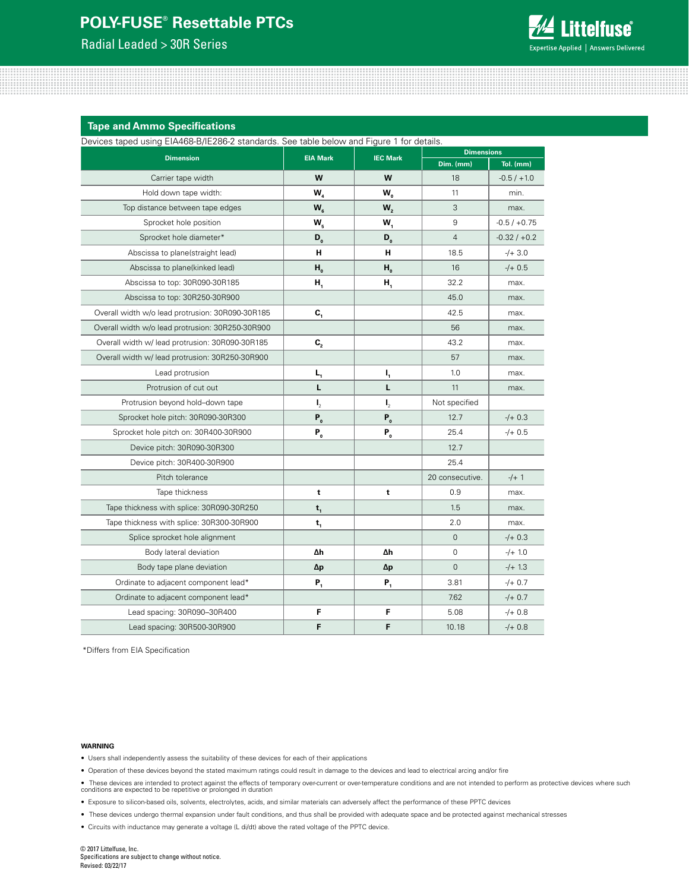Radial Leaded > 30R Series



**Tape and Ammo Specifications**

Devices taped using EIA468-B/IE286-2 standards. See table below and Figure 1 for details.

| bowlood tapou domig Em Hoo Britzoo z otamaardo. Ooo tabio bolow and Higaro Thor dotalio.<br><b>Dimension</b> | <b>EIA Mark</b>  | <b>IEC Mark</b>  | <b>Dimensions</b> |                |  |  |
|--------------------------------------------------------------------------------------------------------------|------------------|------------------|-------------------|----------------|--|--|
|                                                                                                              |                  |                  | Dim. (mm)         | Tol. (mm)      |  |  |
| Carrier tape width                                                                                           | W                | W                | 18                | $-0.5/ +1.0$   |  |  |
| Hold down tape width:                                                                                        | W <sub>4</sub>   | W <sub>o</sub>   | 11                | min.           |  |  |
| Top distance between tape edges                                                                              | $W_{6}$          | W <sub>2</sub>   | 3                 | max.           |  |  |
| Sprocket hole position                                                                                       | W,               | $W_1$            | 9                 | $-0.5/+0.75$   |  |  |
| Sprocket hole diameter*                                                                                      | $D_{o}$          | $D_{o}$          | $\overline{4}$    | $-0.32 / +0.2$ |  |  |
| Abscissa to plane(straight lead)                                                                             | н                | н                | 18.5              | $-/- 3.0$      |  |  |
| Abscissa to plane(kinked lead)                                                                               | H <sub>o</sub>   | H <sub>o</sub>   | 16                | $-/- 0.5$      |  |  |
| Abscissa to top: 30R090-30R185                                                                               | Н,               | Н,               | 32.2              | max.           |  |  |
| Abscissa to top: 30R250-30R900                                                                               |                  |                  | 45.0              | max.           |  |  |
| Overall width w/o lead protrusion: 30R090-30R185                                                             | $\mathbf{c}_{1}$ |                  | 42.5              | max.           |  |  |
| Overall width w/o lead protrusion: 30R250-30R900                                                             |                  |                  | 56                | max.           |  |  |
| Overall width w/ lead protrusion: 30R090-30R185                                                              | $C_{2}$          |                  | 43.2              | max.           |  |  |
| Overall width w/ lead protrusion: 30R250-30R900                                                              |                  |                  | 57                | max.           |  |  |
| Lead protrusion                                                                                              | $L_{1}$          | $I_{1}$          | 1.0               | max.           |  |  |
| Protrusion of cut out                                                                                        | L                | L                | 11                | max.           |  |  |
| Protrusion beyond hold-down tape                                                                             | $\mathbf{I}_{2}$ | $\mathbf{I}_{2}$ | Not specified     |                |  |  |
| Sprocket hole pitch: 30R090-30R300                                                                           | $P_{o}$          | $P_{0}$          | 12.7              | $-/- 0.3$      |  |  |
| Sprocket hole pitch on: 30R400-30R900                                                                        | $P_{o}$          | $P_{o}$          | 25.4              | $-/- 0.5$      |  |  |
| Device pitch: 30R090-30R300                                                                                  |                  |                  | 12.7              |                |  |  |
| Device pitch: 30R400-30R900                                                                                  |                  |                  | 25.4              |                |  |  |
| Pitch tolerance                                                                                              |                  |                  | 20 consecutive.   | $-/-1$         |  |  |
| Tape thickness                                                                                               | t                | t                | 0.9               | max.           |  |  |
| Tape thickness with splice: 30R090-30R250                                                                    | $t_{1}$          |                  | 1.5               | max.           |  |  |
| Tape thickness with splice: 30R300-30R900                                                                    | $t_{1}$          |                  | 2.0               | max.           |  |  |
| Splice sprocket hole alignment                                                                               |                  |                  | $\mathbf{0}$      | $-/- 0.3$      |  |  |
| Body lateral deviation                                                                                       | Δh               | Δh               | 0                 | $-/- 1.0$      |  |  |
| Body tape plane deviation                                                                                    | Δp               | Δp               | $\overline{0}$    | $-/- 1.3$      |  |  |
| Ordinate to adjacent component lead*                                                                         | $P_{1}$          | $P_{1}$          | 3.81              | $-/+ 0.7$      |  |  |
| Ordinate to adjacent component lead*                                                                         |                  |                  | 7.62              | $-/- 0.7$      |  |  |
| Lead spacing: 30R090-30R400                                                                                  | F                | F                | 5.08              | $-/- 0.8$      |  |  |
| Lead spacing: 30R500-30R900                                                                                  | F                | F                | 10.18             | $-/- 0.8$      |  |  |

\*Differs from EIA Specification

#### **WARNING**

- Users shall independently assess the suitability of these devices for each of their applications
- Operation of these devices beyond the stated maximum ratings could result in damage to the devices and lead to electrical arcing and/or fire
- These devices are intended to protect against the effects of temporary over-current or over-temperature conditions and are not intended to perform as protective devices where such<br>conditions are expected to be repetitiv
- Exposure to silicon-based oils, solvents, electrolytes, acids, and similar materials can adversely affect the performance of these PPTC devices
- These devices undergo thermal expansion under fault conditions, and thus shall be provided with adequate space and be protected against mechanical stresses
- Circuits with inductance may generate a voltage (L di/dt) above the rated voltage of the PPTC device.